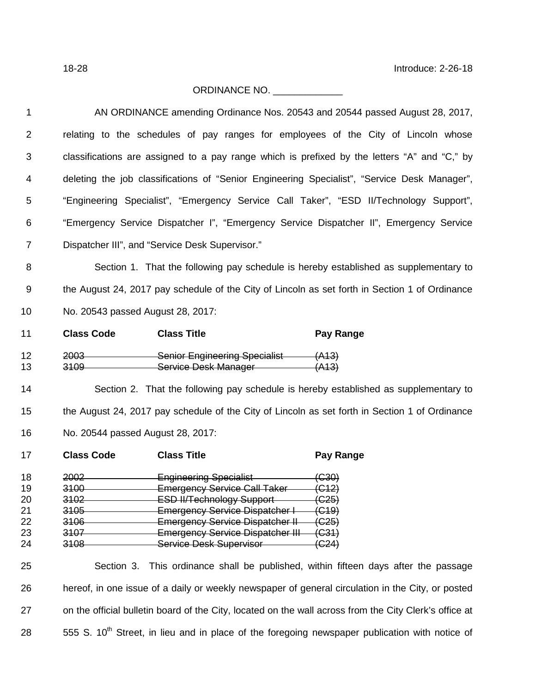## ORDINANCE NO. \_\_\_\_\_\_\_\_\_\_\_\_\_\_\_\_

|                | AN ORDINANCE amending Ordinance Nos. 20543 and 20544 passed August 28, 2017,                   |                                                                             |                                                                                                        |
|----------------|------------------------------------------------------------------------------------------------|-----------------------------------------------------------------------------|--------------------------------------------------------------------------------------------------------|
| 2              |                                                                                                |                                                                             | relating to the schedules of pay ranges for employees of the City of Lincoln whose                     |
| 3              | classifications are assigned to a pay range which is prefixed by the letters "A" and "C," by   |                                                                             |                                                                                                        |
| 4              | deleting the job classifications of "Senior Engineering Specialist", "Service Desk Manager",   |                                                                             |                                                                                                        |
| 5              | "Engineering Specialist", "Emergency Service Call Taker", "ESD II/Technology Support",         |                                                                             |                                                                                                        |
| 6              | "Emergency Service Dispatcher I", "Emergency Service Dispatcher II", Emergency Service         |                                                                             |                                                                                                        |
| $\overline{7}$ | Dispatcher III", and "Service Desk Supervisor."                                                |                                                                             |                                                                                                        |
| 8              | Section 1. That the following pay schedule is hereby established as supplementary to           |                                                                             |                                                                                                        |
| 9              | the August 24, 2017 pay schedule of the City of Lincoln as set forth in Section 1 of Ordinance |                                                                             |                                                                                                        |
| 10             | No. 20543 passed August 28, 2017:                                                              |                                                                             |                                                                                                        |
| 11             | <b>Class Code</b>                                                                              | <b>Class Title</b>                                                          | <b>Pay Range</b>                                                                                       |
| 12             | 2003                                                                                           | Senior Engineering Specialist (A13)                                         |                                                                                                        |
| 13             |                                                                                                | Service Desk Manager                                                        | <del>(A13)</del>                                                                                       |
| 14             |                                                                                                |                                                                             |                                                                                                        |
|                |                                                                                                |                                                                             | Section 2. That the following pay schedule is hereby established as supplementary to                   |
| 15             |                                                                                                |                                                                             | the August 24, 2017 pay schedule of the City of Lincoln as set forth in Section 1 of Ordinance         |
| 16             | No. 20544 passed August 28, 2017:                                                              |                                                                             |                                                                                                        |
| 17             | <b>Class Code</b>                                                                              | <b>Class Title</b>                                                          | <b>Pay Range</b>                                                                                       |
| 18             | 2002                                                                                           | <b>Engineering Specialist</b>                                               | $-(C30)$                                                                                               |
| 19             | 3100                                                                                           | <b>Emergency Service Call Taker</b>                                         | $\left($ C12 $\right)$                                                                                 |
| 20             | 3102                                                                                           | ESD II/Technology Support—                                                  | <del>(C25)</del>                                                                                       |
|                | 3105                                                                                           |                                                                             | (C19)                                                                                                  |
| 21             |                                                                                                | <b>Emergency Service Dispatcher I</b>                                       |                                                                                                        |
| 22             |                                                                                                | 3106 Emergency Service Dispatcher II                                        | (C25)                                                                                                  |
| 23<br>24       |                                                                                                | 3107 Emergency Service Dispatcher III (C31)<br>3108 Service Desk Supervisor | (C24)                                                                                                  |
| 25             |                                                                                                |                                                                             | Section 3. This ordinance shall be published, within fifteen days after the passage                    |
| 26             |                                                                                                |                                                                             | hereof, in one issue of a daily or weekly newspaper of general circulation in the City, or posted      |
| 27             |                                                                                                |                                                                             | on the official bulletin board of the City, located on the wall across from the City Clerk's office at |